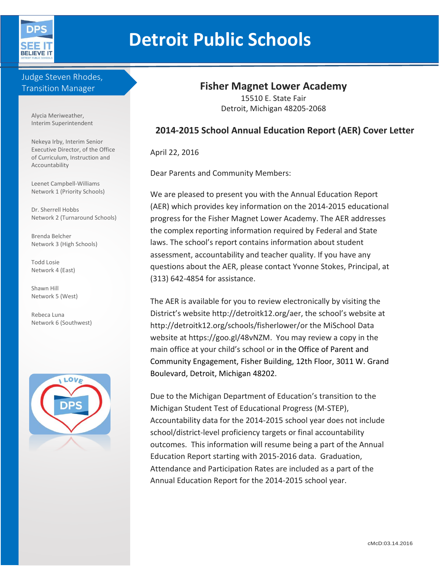

# **Detroit Public Schools**

## Judge Steven Rhodes, Transition Manager

Alycia Meriweather, Interim Superintendent

Nekeya Irby, Interim Senior Executive Director, of the Office of Curriculum, Instruction and Accountability

Leenet Campbell-Williams Network 1 (Priority Schools)

Dr. Sherrell Hobbs Network 2 (Turnaround Schools)

Brenda Belcher Network 3 (High Schools)

Todd Losie Network 4 (East)

Shawn Hill Network 5 (West)

Rebeca Luna Network 6 (Southwest)



## **Fisher Magnet Lower Academy**

15510 E. State Fair Detroit, Michigan 48205-2068

## **2014-2015 School Annual Education Report (AER) Cover Letter**

April 22, 2016

Dear Parents and Community Members:

We are pleased to present you with the Annual Education Report (AER) which provides key information on the 2014-2015 educational progress for the Fisher Magnet Lower Academy. The AER addresses the complex reporting information required by Federal and State laws. The school's report contains information about student assessment, accountability and teacher quality. If you have any questions about the AER, please contact Yvonne Stokes, Principal, at (313) 642-4854 for assistance.

The AER is available for you to review electronically by visiting the District's website http://detroitk12.org/aer, the school's website at http://detroitk12.org/schools/fisherlower/or the MiSchool Data website at https://goo.gl/48vNZM. You may review a copy in the main office at your child's school or in the Office of Parent and Community Engagement, Fisher Building, 12th Floor, 3011 W. Grand Boulevard, Detroit, Michigan 48202.

Due to the Michigan Department of Education's transition to the Michigan Student Test of Educational Progress (M-STEP), Accountability data for the 2014-2015 school year does not include school/district-level proficiency targets or final accountability outcomes. This information will resume being a part of the Annual Education Report starting with 2015-2016 data. Graduation, Attendance and Participation Rates are included as a part of the Annual Education Report for the 2014-2015 school year.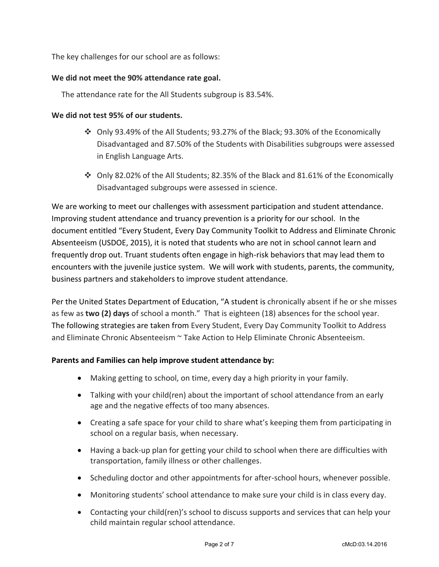The key challenges for our school are as follows:

#### **We did not meet the 90% attendance rate goal.**

The attendance rate for the All Students subgroup is 83.54%.

#### **We did not test 95% of our students.**

- Only 93.49% of the All Students; 93.27% of the Black; 93.30% of the Economically Disadvantaged and 87.50% of the Students with Disabilities subgroups were assessed in English Language Arts.
- $\clubsuit$  Only 82.02% of the All Students; 82.35% of the Black and 81.61% of the Economically Disadvantaged subgroups were assessed in science.

We are working to meet our challenges with assessment participation and student attendance. Improving student attendance and truancy prevention is a priority for our school. In the document entitled "Every Student, Every Day Community Toolkit to Address and Eliminate Chronic Absenteeism (USDOE, 2015), it is noted that students who are not in school cannot learn and frequently drop out. Truant students often engage in high-risk behaviors that may lead them to encounters with the juvenile justice system. We will work with students, parents, the community, business partners and stakeholders to improve student attendance.

Per the United States Department of Education, "A student is chronically absent if he or she misses as few as **two (2) days** of school a month." That is eighteen (18) absences for the school year. The following strategies are taken from Every Student, Every Day Community Toolkit to Address and Eliminate Chronic Absenteeism ~ Take Action to Help Eliminate Chronic Absenteeism.

#### **Parents and Families can help improve student attendance by:**

- Making getting to school, on time, every day a high priority in your family.
- Talking with your child(ren) about the important of school attendance from an early age and the negative effects of too many absences.
- Creating a safe space for your child to share what's keeping them from participating in school on a regular basis, when necessary.
- Having a back-up plan for getting your child to school when there are difficulties with transportation, family illness or other challenges.
- Scheduling doctor and other appointments for after-school hours, whenever possible.
- Monitoring students' school attendance to make sure your child is in class every day.
- Contacting your child(ren)'s school to discuss supports and services that can help your child maintain regular school attendance.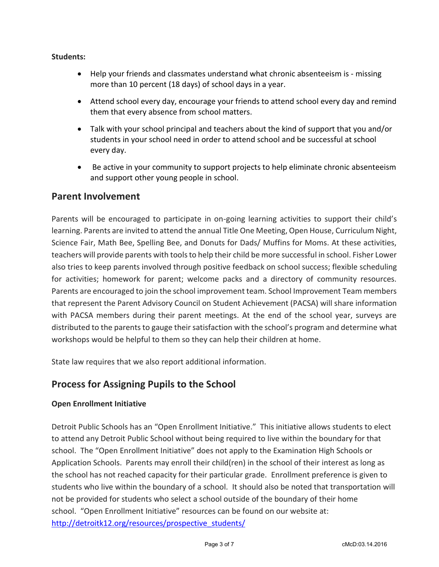#### **Students:**

- Help your friends and classmates understand what chronic absenteeism is missing more than 10 percent (18 days) of school days in a year.
- Attend school every day, encourage your friends to attend school every day and remind them that every absence from school matters.
- Talk with your school principal and teachers about the kind of support that you and/or students in your school need in order to attend school and be successful at school every day.
- Be active in your community to support projects to help eliminate chronic absenteeism and support other young people in school.

## **Parent Involvement**

Parents will be encouraged to participate in on-going learning activities to support their child's learning. Parents are invited to attend the annual Title One Meeting, Open House, Curriculum Night, Science Fair, Math Bee, Spelling Bee, and Donuts for Dads/ Muffins for Moms. At these activities, teachers will provide parents with tools to help their child be more successful in school. Fisher Lower also tries to keep parents involved through positive feedback on school success; flexible scheduling for activities; homework for parent; welcome packs and a directory of community resources. Parents are encouraged to join the school improvement team. School Improvement Team members that represent the Parent Advisory Council on Student Achievement (PACSA) will share information with PACSA members during their parent meetings. At the end of the school year, surveys are distributed to the parents to gauge their satisfaction with the school's program and determine what workshops would be helpful to them so they can help their children at home.

State law requires that we also report additional information.

# **Process for Assigning Pupils to the School**

#### **Open Enrollment Initiative**

Detroit Public Schools has an "Open Enrollment Initiative." This initiative allows students to elect to attend any Detroit Public School without being required to live within the boundary for that school. The "Open Enrollment Initiative" does not apply to the Examination High Schools or Application Schools. Parents may enroll their child(ren) in the school of their interest as long as the school has not reached capacity for their particular grade. Enrollment preference is given to students who live within the boundary of a school. It should also be noted that transportation will not be provided for students who select a school outside of the boundary of their home school. "Open Enrollment Initiative" resources can be found on our website at: [http://detroitk12.org/resources/prospective\\_students/](http://detroitk12.org/resources/prospective_students/)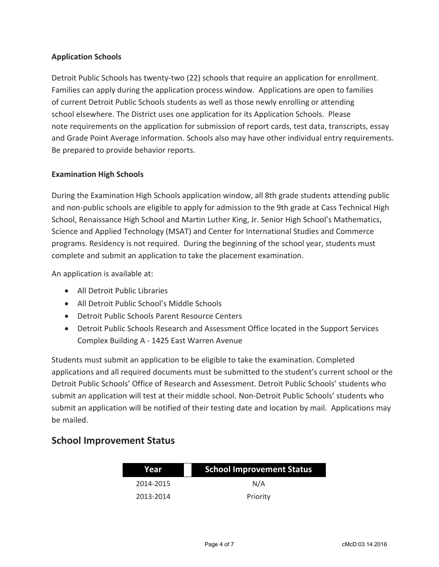#### **Application Schools**

Detroit Public Schools has twenty-two (22) schools that require an application for enrollment. Families can apply during the application process window. Applications are open to families of current Detroit Public Schools students as well as those newly enrolling or attending school elsewhere. The District uses one application for its Application Schools. Please note requirements on the application for submission of report cards, test data, transcripts, essay and Grade Point Average information. Schools also may have other individual entry requirements. Be prepared to provide behavior reports.

#### **Examination High Schools**

During the Examination High Schools application window, all 8th grade students attending public and non-public schools are eligible to apply for admission to the 9th grade at Cass Technical High School, Renaissance High School and Martin Luther King, Jr. Senior High School's Mathematics, Science and Applied Technology (MSAT) and Center for International Studies and Commerce programs. Residency is not required. During the beginning of the school year, students must complete and submit an application to take the placement examination.

An application is available at:

- All Detroit Public Libraries
- All Detroit Public School's Middle Schools
- Detroit Public Schools Parent Resource Centers
- Detroit Public Schools Research and Assessment Office located in the Support Services Complex Building A - 1425 East Warren Avenue

Students must submit an application to be eligible to take the examination. Completed applications and all required documents must be submitted to the student's current school or the Detroit Public Schools' Office of Research and Assessment. Detroit Public Schools' students who submit an application will test at their middle school. Non-Detroit Public Schools' students who submit an application will be notified of their testing date and location by mail. Applications may be mailed.

## **School Improvement Status**

| Year      | <b>School Improvement Status</b> |  |
|-----------|----------------------------------|--|
| 2014-2015 | N/A                              |  |
| 2013-2014 | Priority                         |  |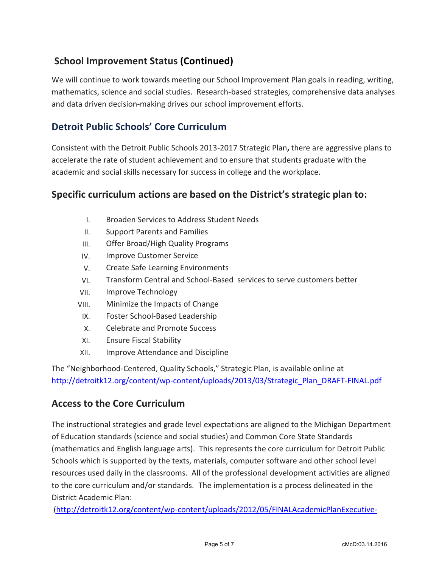# **School Improvement Status (Continued)**

We will continue to work towards meeting our School Improvement Plan goals in reading, writing, mathematics, science and social studies. Research-based strategies, comprehensive data analyses and data driven decision-making drives our school improvement efforts.

# **Detroit Public Schools' Core Curriculum**

Consistent with the Detroit Public Schools 2013-2017 Strategic Plan**,** there are aggressive plans to accelerate the rate of student achievement and to ensure that students graduate with the academic and social skills necessary for success in college and the workplace.

## **Specific curriculum actions are based on the District's strategic plan to:**

- I. Broaden Services to Address Student Needs
- II. Support Parents and Families
- III. Offer Broad/High Quality Programs
- IV. Improve Customer Service
- V. Create Safe Learning Environments
- VI. Transform Central and School-Based services to serve customers better
- VII. Improve Technology
- VIII. Minimize the Impacts of Change
- IX. Foster School-Based Leadership
- X. Celebrate and Promote Success
- XI. Ensure Fiscal Stability
- XII. Improve Attendance and Discipline

The "Neighborhood-Centered, Quality Schools," Strategic Plan, is available online at [http://detroitk12.org/content/wp-content/uploads/2013/03/Strategic\\_Plan\\_DRAFT-FINAL.pdf](http://detroitk12.org/content/wp-content/uploads/2013/03/Strategic_Plan_DRAFT-FINAL.pdf)

## **Access to the Core Curriculum**

The instructional strategies and grade level expectations are aligned to the Michigan Department of Education standards (science and social studies) and Common Core State Standards (mathematics and English language arts). This represents the core curriculum for Detroit Public Schools which is supported by the texts, materials, computer software and other school level resources used daily in the classrooms. All of the professional development activities are aligned to the core curriculum and/or standards. The implementation is a process delineated in the District Academic Plan:

[\(http://detroitk12.org/content/wp-content/uploads/2012/05/FINALAcademicPlanExecutive-](http://detroitk12.org/content/wp-content/uploads/2012/05/FINALAcademicPlanExecutive-Summary_2012.pdf)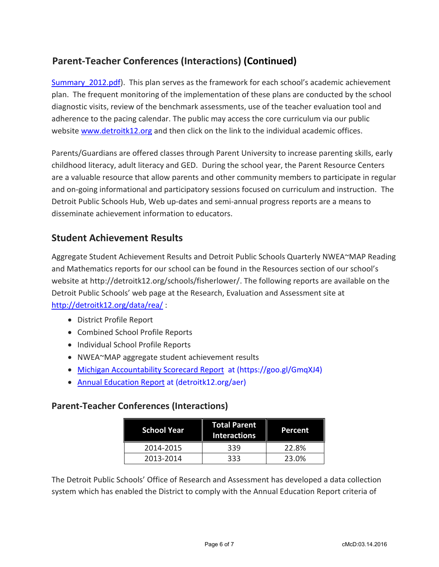# **Parent-Teacher Conferences (Interactions) (Continued)**

Summary 2012.pdf). This plan serves as the framework for each school's academic achievement plan. The frequent monitoring of the implementation of these plans are conducted by the school diagnostic visits, review of the benchmark assessments, use of the teacher evaluation tool and adherence to the pacing calendar. The public may access the core curriculum via our public website [www.detroitk12.org](http://www.detroitk12.org/) and then click on the link to the individual academic offices.

Parents/Guardians are offered classes through Parent University to increase parenting skills, early childhood literacy, adult literacy and GED. During the school year, the Parent Resource Centers are a valuable resource that allow parents and other community members to participate in regular and on-going informational and participatory sessions focused on curriculum and instruction. The Detroit Public Schools Hub, Web up-dates and semi-annual progress reports are a means to disseminate achievement information to educators.

## **Student Achievement Results**

Aggregate Student Achievement Results and Detroit Public Schools Quarterly NWEA~MAP Reading and Mathematics reports for our school can be found in the Resources section of our school's website at http://detroitk12.org/schools/fisherlower/. The following reports are available on the Detroit Public Schools' web page at the Research, Evaluation and Assessment site at <http://detroitk12.org/data/rea/> :

- District Profile Report
- Combined School Profile Reports
- Individual School Profile Reports
- NWEA~MAP aggregate student achievement results
- [Michigan Accountability Scorecard Report](https://goo.gl/GmqXJ4) at (https://goo.gl/GmqXJ4)
- [Annual Education Report](http://detroitk12.org/aer) at (detroitk12.org/aer)

## **Parent-Teacher Conferences (Interactions)**

| <b>School Year</b> | <b>Total Parent</b><br><b>Interactions</b> | Percent |
|--------------------|--------------------------------------------|---------|
| 2014-2015          | 339                                        | 22.8%   |
| 2013-2014          | 333                                        | 23.0%   |

The Detroit Public Schools' Office of Research and Assessment has developed a data collection system which has enabled the District to comply with the Annual Education Report criteria of